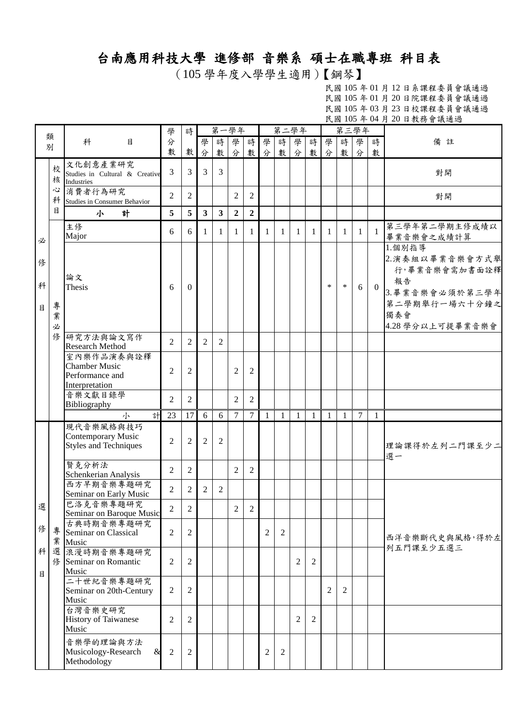## 台南應用科技大學 進修部 音樂系 碩士在職專班 科目表

(105 學年度入學學生適用)【鋼琴】

|             |             |                                                                                                   |                |                |                         |                | 第一學年           |                |                |                | 第二學年           |                |                | 第三學年   |                |              | $\frac{1}{2}$ $\frac{1}{2}$ $\frac{1}{2}$ $\frac{1}{2}$ $\frac{1}{2}$ $\frac{1}{2}$ $\frac{1}{2}$ $\frac{1}{2}$ $\frac{1}{2}$ $\frac{1}{2}$ $\frac{1}{2}$ $\frac{1}{2}$ $\frac{1}{2}$ $\frac{1}{2}$ $\frac{1}{2}$ $\frac{1}{2}$ $\frac{1}{2}$ $\frac{1}{2}$ $\frac{1}{2}$ $\frac{1}{2}$ $\frac{1}{2}$ $\frac{1}{2}$ |
|-------------|-------------|---------------------------------------------------------------------------------------------------|----------------|----------------|-------------------------|----------------|----------------|----------------|----------------|----------------|----------------|----------------|----------------|--------|----------------|--------------|---------------------------------------------------------------------------------------------------------------------------------------------------------------------------------------------------------------------------------------------------------------------------------------------------------------------|
|             | 類           |                                                                                                   | 學              | 時              |                         |                |                |                |                |                |                |                |                |        |                |              |                                                                                                                                                                                                                                                                                                                     |
|             | 別           | 科<br>目                                                                                            | 分              |                | 學                       | 時              | 學              | 時              | 學              | 時              | 學              | 時              | 學              | 時      | 學              | 時            | 備註                                                                                                                                                                                                                                                                                                                  |
|             |             |                                                                                                   | 數              | 數              | 分                       | 數              | 分              |                | 數分             | 數              | 分              | 數              | 分              | 數      | 分              | 數            |                                                                                                                                                                                                                                                                                                                     |
|             | 校<br>核      | 文化創意產業研究<br>Studies in Cultural & Creative<br>Industries                                          | $\overline{3}$ | 3              | 3                       | $\overline{3}$ |                |                |                |                |                |                |                |        |                |              | 對開                                                                                                                                                                                                                                                                                                                  |
|             | 心<br>科      | 消費者行為研究<br>Studies in Consumer Behavior                                                           | $\overline{2}$ | 2              |                         |                | $\overline{c}$ | $\overline{2}$ |                |                |                |                |                |        |                |              | 對開                                                                                                                                                                                                                                                                                                                  |
|             | 目           | 計<br>小                                                                                            | 5              | 5              | $\overline{\mathbf{3}}$ | $\mathbf{3}$   | $\overline{2}$ | $\overline{2}$ |                |                |                |                |                |        |                |              |                                                                                                                                                                                                                                                                                                                     |
| 必           |             | 主修<br>Major                                                                                       | 6              | 6              | 1                       | 1              | 1              | 1              | 1              | 1              | $\mathbf{1}$   | 1              | 1              | 1      | $\mathbf{1}$   | $\mathbf{1}$ | 第三學年第二學期主修成績以<br>畢業音樂會之成績計算                                                                                                                                                                                                                                                                                         |
| 俢<br>科<br>目 | 專<br>業<br>必 | 論文<br>Thesis                                                                                      | 6              | $\Omega$       |                         |                |                |                |                |                |                |                | $\ast$         | $\ast$ | 6              | $\theta$     | 1.個別指導<br>2. 演奏組以畢業音樂會方式舉<br>行,畢業音樂會需加書面詮釋<br>報告<br>3. 畢業音樂會必須於第三學年<br>第二學期舉行一場六十分鐘之<br>獨奏會<br>4.28 學分以上可提畢業音樂會                                                                                                                                                                                                     |
|             | 修           | 研究方法與論文寫作                                                                                         | $\overline{2}$ | 2              | $\overline{2}$          | 2              |                |                |                |                |                |                |                |        |                |              |                                                                                                                                                                                                                                                                                                                     |
|             |             | <b>Research Method</b><br>室內樂作品演奏與詮釋<br><b>Chamber Music</b><br>Performance and<br>Interpretation | $\overline{2}$ | 2              |                         |                | $\overline{c}$ | 2              |                |                |                |                |                |        |                |              |                                                                                                                                                                                                                                                                                                                     |
|             |             | 音樂文獻目錄學<br>Bibliography                                                                           | $\overline{2}$ | $\overline{2}$ |                         |                | $\overline{2}$ | $\overline{2}$ |                |                |                |                |                |        |                |              |                                                                                                                                                                                                                                                                                                                     |
|             |             | 計<br>小                                                                                            | 23             | 17             | 6                       | 6              | 7              | $\tau$         | 1              | $\mathbf{1}$   | $\mathbf{1}$   | $\mathbf{1}$   | $\mathbf{1}$   | 1      | $\overline{7}$ | $\mathbf{1}$ |                                                                                                                                                                                                                                                                                                                     |
|             |             | 現代音樂風格與技巧<br>Contemporary Music<br><b>Styles and Techniques</b>                                   | $\overline{2}$ | 2              | $\overline{2}$          | $\overline{c}$ |                |                |                |                |                |                |                |        |                |              | 理論課得於左列二門課至少二<br>選一                                                                                                                                                                                                                                                                                                 |
|             |             | 賢克分析法<br>Schenkerian Analysis                                                                     | $\overline{2}$ | $\overline{2}$ |                         |                | $\overline{2}$ | $\overline{2}$ |                |                |                |                |                |        |                |              |                                                                                                                                                                                                                                                                                                                     |
|             |             | 西方早期音樂專題研究<br>Seminar on Early Music                                                              | $\overline{2}$ | $\overline{2}$ | 2                       | $\overline{2}$ |                |                |                |                |                |                |                |        |                |              |                                                                                                                                                                                                                                                                                                                     |
| 潠           |             | 巴洛克音樂專題研究<br>Seminar on Baroque Music                                                             | $\overline{2}$ | $\sqrt{2}$     |                         |                | $\overline{2}$ | $\overline{2}$ |                |                |                |                |                |        |                |              |                                                                                                                                                                                                                                                                                                                     |
| 俢           | 專<br>業      | 古典時期音樂專題研究<br>Seminar on Classical<br>Music                                                       | $\overline{2}$ | 2              |                         |                |                |                | $\mathbf{2}$   | 2              |                |                |                |        |                |              | 西洋音樂斷代史與風格,得於左                                                                                                                                                                                                                                                                                                      |
| 科<br>目      | 選<br>俢      | 浪漫時期音樂專題研究<br>Seminar on Romantic<br>Music                                                        | $\overline{2}$ | 2              |                         |                |                |                |                |                | $\overline{2}$ | $\overline{2}$ |                |        |                |              | 列五門課至少五選三                                                                                                                                                                                                                                                                                                           |
|             |             | 二十世紀音樂專題研究<br>Seminar on 20th-Century<br>Music                                                    | $\overline{2}$ | 2              |                         |                |                |                |                |                |                |                | $\overline{2}$ | 2      |                |              |                                                                                                                                                                                                                                                                                                                     |
|             |             | 台灣音樂史研究<br><b>History of Taiwanese</b><br>Music                                                   | $\overline{c}$ | 2              |                         |                |                |                |                |                | $\overline{2}$ | 2              |                |        |                |              |                                                                                                                                                                                                                                                                                                                     |
|             |             | 音樂學的理論與方法<br>Musicology-Research<br>&<br>Methodology                                              | $\mathbf{2}$   | 2              |                         |                |                |                | $\overline{2}$ | $\overline{2}$ |                |                |                |        |                |              |                                                                                                                                                                                                                                                                                                                     |
|             |             |                                                                                                   |                |                |                         |                |                |                |                |                |                |                |                |        |                |              |                                                                                                                                                                                                                                                                                                                     |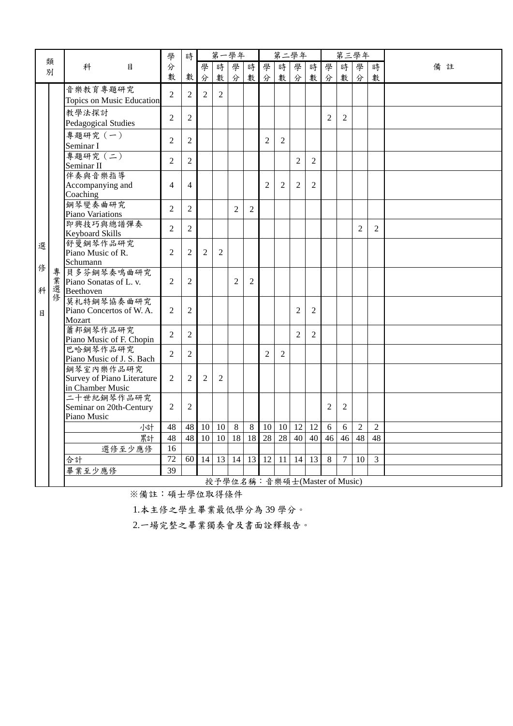|        |              |                                                             | 學              | 時              |                |                | 第一學年                         |                |                | 第二學年           |                |                |                |                | 第三學年           |                |    |
|--------|--------------|-------------------------------------------------------------|----------------|----------------|----------------|----------------|------------------------------|----------------|----------------|----------------|----------------|----------------|----------------|----------------|----------------|----------------|----|
|        | 類<br>別       | 科<br>目                                                      | 分              |                | 學              | 時              | 學                            | 時              | 學              | 時              | 學              | 時              | 學              | 時              | 學              | 時              | 備註 |
|        |              |                                                             | 數              | 數              | 分              | 數              | 分                            | 數              | 分              | 數              | 分              | 數              | 分              | 數              | 分              | 數              |    |
|        |              | 音樂教育專題研究<br>Topics on Music Education                       | $\overline{2}$ | $\overline{2}$ | $\overline{2}$ | $\overline{2}$ |                              |                |                |                |                |                |                |                |                |                |    |
|        |              | 教學法探討<br>Pedagogical Studies                                | $\overline{2}$ | $\overline{2}$ |                |                |                              |                |                |                |                |                | $\overline{2}$ | $\overline{2}$ |                |                |    |
|        |              | 專題研究 (一)<br>Seminar I                                       | 2              | $\overline{2}$ |                |                |                              |                | 2              | 2              |                |                |                |                |                |                |    |
|        |              | 專題研究 (二)<br>Seminar II                                      | 2              | $\overline{2}$ |                |                |                              |                |                |                | $\overline{2}$ | $\overline{2}$ |                |                |                |                |    |
|        |              | 伴奏與音樂指導<br>Accompanying and<br>Coaching                     | $\overline{4}$ | $\overline{4}$ |                |                |                              |                | $\overline{2}$ | $\mathfrak{2}$ | $\overline{2}$ | 2              |                |                |                |                |    |
|        |              | 鋼琴變奏曲研究<br>Piano Variations                                 | 2              | $\overline{2}$ |                |                | $\overline{2}$               | $\overline{2}$ |                |                |                |                |                |                |                |                |    |
|        |              | 即興技巧與總譜彈奏<br>Keyboard Skills                                | $\overline{2}$ | $\overline{2}$ |                |                |                              |                |                |                |                |                |                |                | $\overline{2}$ | $\overline{2}$ |    |
| 選      |              | 舒曼鋼琴作品研究<br>Piano Music of R.<br>Schumann                   | $\overline{2}$ | $\overline{c}$ | $\overline{c}$ | 2              |                              |                |                |                |                |                |                |                |                |                |    |
| 俢<br>科 | 專<br>業<br>選修 | 貝多芬鋼琴奏鳴曲研究<br>Piano Sonatas of L. v.<br>Beethoven           | 2              | $\mathbf{2}$   |                |                | $\overline{2}$               | $\overline{2}$ |                |                |                |                |                |                |                |                |    |
| 目      |              | 莫札特鋼琴協奏曲研究<br>Piano Concertos of W.A.<br>Mozart             | 2              | 2              |                |                |                              |                |                |                | $\overline{c}$ | $\overline{2}$ |                |                |                |                |    |
|        |              | 蕭邦鋼琴作品研究<br>Piano Music of F. Chopin                        | $\overline{2}$ | $\overline{2}$ |                |                |                              |                |                |                | $\overline{2}$ | 2              |                |                |                |                |    |
|        |              | 巴哈鋼琴作品研究<br>Piano Music of J. S. Bach                       | $\overline{2}$ | $\overline{2}$ |                |                |                              |                | $\mathfrak{D}$ | $\overline{2}$ |                |                |                |                |                |                |    |
|        |              | 鋼琴室內樂作品研究<br>Survey of Piano Literature<br>in Chamber Music | $\overline{2}$ | $\mathbf{2}$   | $\overline{c}$ | 2              |                              |                |                |                |                |                |                |                |                |                |    |
|        |              | 二十世紀鋼琴作品研究<br>Seminar on 20th-Century<br>Piano Music        | $\overline{2}$ | $\mathfrak{2}$ |                |                |                              |                |                |                |                |                | $\overline{2}$ | $\overline{2}$ |                |                |    |
|        |              | 小計                                                          | 48             | 48             | 10             | 10             | 8                            | $\,8\,$        | 10             | 10             | 12             | 12             | $6\,$          | 6              | $\overline{2}$ | $\overline{2}$ |    |
|        |              | 累計                                                          | 48             | 48             | 10             | 10             | 18                           | 18             | 28             | 28             | 40             | 40             | 46             | 46             | 48             | 48             |    |
|        |              | 選修至少應修                                                      | 16             |                |                |                |                              |                |                |                |                |                |                |                |                |                |    |
|        |              | 合計                                                          | 72             | 60             | 14             | 13             | 14                           | 13             | 12             | 11             | 14             | 13             | $\,8\,$        | $\overline{7}$ | 10             | $\overline{3}$ |    |
|        |              | 畢業至少應修                                                      | 39             |                |                |                |                              |                |                |                |                |                |                |                |                |                |    |
|        |              |                                                             |                |                |                |                | 授予學位名稱:音樂碩士(Master of Music) |                |                |                |                |                |                |                |                |                |    |

1.本主修之學生畢業最低學分為 39 學分。

2.一場完整之畢業獨奏會及書面詮釋報告。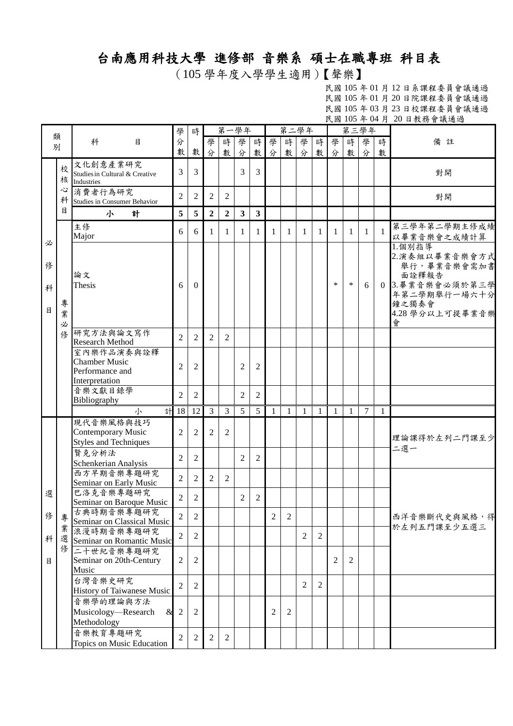## 台南應用科技大學 進修部 音樂系 碩士在職專班 科目表

(105 學年度入學學生適用)【聲樂】

|   |        |                                                     | 學              | 時              |                | 第一學年           |                         |                |              |              | 第二學年           |              |                |                | 第三學年           |              |                 |
|---|--------|-----------------------------------------------------|----------------|----------------|----------------|----------------|-------------------------|----------------|--------------|--------------|----------------|--------------|----------------|----------------|----------------|--------------|-----------------|
|   | 類      | 科<br>目                                              | 分              |                | 學              | 時              | 學                       | 時              | 學            | 時            | 學              | 時            | 學              | 時              | 學              | 時            | 備註              |
|   | 別      |                                                     | 數              | 數              | 分              |                | 分                       | 數              |              | 數            | 分              | 數            |                | 數              | 分              |              |                 |
|   |        |                                                     |                |                |                | 數              |                         |                | 分            |              |                |              | 分              |                |                | 數            |                 |
|   | 校      | 文化創意產業研究                                            | 3              | 3              |                |                | 3                       | 3              |              |              |                |              |                |                |                |              |                 |
|   | 核      | Studies in Cultural & Creative<br><b>Industries</b> |                |                |                |                |                         |                |              |              |                |              |                |                |                |              | 對開              |
|   | 心      | 消費者行為研究                                             |                |                |                |                |                         |                |              |              |                |              |                |                |                |              |                 |
|   | 科      |                                                     | $\overline{c}$ | 2              | $\overline{c}$ | $\mathfrak{2}$ |                         |                |              |              |                |              |                |                |                |              | 對開              |
|   | 目      | Studies in Consumer Behavior                        |                |                |                |                |                         |                |              |              |                |              |                |                |                |              |                 |
|   |        | 小<br>計                                              | 5              | 5              | $\overline{2}$ | $\overline{2}$ | $\overline{\mathbf{3}}$ | $\mathbf{3}$   |              |              |                |              |                |                |                |              |                 |
|   |        | 主修                                                  |                |                |                |                |                         |                |              |              |                |              |                |                |                |              | 第三學年第二學期主修成績    |
|   |        | Major                                               | 6              | 6              | 1              | 1              | 1                       | 1              | $\mathbf{1}$ | 1            | 1              | -1           | -1             | -1             | $\mathbf{1}$   | $\mathbf{1}$ | 以畢業音樂會之成績計算     |
| 必 |        |                                                     |                |                |                |                |                         |                |              |              |                |              |                |                |                |              | 1.個別指導          |
|   |        |                                                     |                |                |                |                |                         |                |              |              |                |              |                |                |                |              | 2.演奏組以畢業音樂會方式   |
| 俢 |        |                                                     |                |                |                |                |                         |                |              |              |                |              |                |                |                |              | 舉行,畢業音樂會需加書     |
|   |        | 論文                                                  |                |                |                |                |                         |                |              |              |                |              |                |                |                |              | 面詮釋報告           |
|   |        | Thesis                                              | 6              | $\theta$       |                |                |                         |                |              |              |                |              | $\ast$         | $\ast$         | 6              |              | 0 3.畢業音樂會必須於第三學 |
| 科 |        |                                                     |                |                |                |                |                         |                |              |              |                |              |                |                |                |              | 年第二學期舉行一場六十分    |
|   | 專      |                                                     |                |                |                |                |                         |                |              |              |                |              |                |                |                |              | 鐘之獨奏會           |
| 目 | 業      |                                                     |                |                |                |                |                         |                |              |              |                |              |                |                |                |              | 4.28 學分以上可提畢業音樂 |
|   |        |                                                     |                |                |                |                |                         |                |              |              |                |              |                |                |                |              | 會               |
|   | 必<br>俢 | 研究方法與論文寫作                                           |                |                |                |                |                         |                |              |              |                |              |                |                |                |              |                 |
|   |        | <b>Research Method</b>                              | $\overline{2}$ | 2              | $\overline{2}$ | 2              |                         |                |              |              |                |              |                |                |                |              |                 |
|   |        | 室內樂作品演奏與詮釋                                          |                |                |                |                |                         |                |              |              |                |              |                |                |                |              |                 |
|   |        | <b>Chamber Music</b>                                |                |                |                |                |                         |                |              |              |                |              |                |                |                |              |                 |
|   |        | Performance and                                     | $\overline{2}$ | $\overline{2}$ |                |                | $\overline{2}$          | $\overline{2}$ |              |              |                |              |                |                |                |              |                 |
|   |        |                                                     |                |                |                |                |                         |                |              |              |                |              |                |                |                |              |                 |
|   |        | Interpretation                                      |                |                |                |                |                         |                |              |              |                |              |                |                |                |              |                 |
|   |        | 音樂文獻目錄學                                             | $\overline{2}$ | $\overline{c}$ |                |                | $\overline{2}$          | $\overline{2}$ |              |              |                |              |                |                |                |              |                 |
|   |        | Bibliography                                        |                |                |                |                |                         |                |              |              |                |              |                |                |                |              |                 |
|   |        | 計<br>小                                              | 18             | 12             | 3              | $\overline{3}$ | 5                       | 5              | $\mathbf{1}$ | $\mathbf{1}$ | $\mathbf{1}$   | $\mathbf{1}$ | 1              | $\mathbf{1}$   | $\overline{7}$ | $\mathbf{1}$ |                 |
|   |        | 現代音樂風格與技巧                                           |                |                |                |                |                         |                |              |              |                |              |                |                |                |              |                 |
|   |        | Contemporary Music                                  | $\overline{2}$ | 2              | $\overline{2}$ | $\overline{2}$ |                         |                |              |              |                |              |                |                |                |              |                 |
|   |        | <b>Styles and Techniques</b>                        |                |                |                |                |                         |                |              |              |                |              |                |                |                |              | 理論課得於左列二門課至少    |
|   |        | 賢克分析法                                               |                |                |                |                |                         |                |              |              |                |              |                |                |                |              | 二選一             |
|   |        | Schenkerian Analysis                                | 2              | 2              |                |                | 2                       | $\overline{2}$ |              |              |                |              |                |                |                |              |                 |
|   |        | 西方早期音樂專題研究                                          |                |                |                |                |                         |                |              |              |                |              |                |                |                |              |                 |
|   |        | Seminar on Early Music                              | $\overline{2}$ | 2              | $\overline{2}$ | $\overline{2}$ |                         |                |              |              |                |              |                |                |                |              |                 |
|   |        | 巴洛克音樂專題研究                                           |                |                |                |                |                         |                |              |              |                |              |                |                |                |              |                 |
| 選 |        | Seminar on Baroque Music                            | 2              | 2              |                |                | 2                       | $\overline{2}$ |              |              |                |              |                |                |                |              |                 |
|   |        |                                                     |                |                |                |                |                         |                |              |              |                |              |                |                |                |              |                 |
| 俢 | 專      | 古典時期音樂專題研究                                          | $\overline{2}$ | $\overline{2}$ |                |                |                         |                | 2            | 2            |                |              |                |                |                |              | 西洋音樂斷代史與風格,得    |
|   | 業      | Seminar on Classical Music                          |                |                |                |                |                         |                |              |              |                |              |                |                |                |              | 於左列五門課至少五選三     |
| 科 |        | 浪漫時期音樂專題研究                                          | $\overline{2}$ | 2              |                |                |                         |                |              |              | 2              | 2            |                |                |                |              |                 |
|   | 俢      | 選 Seminar on Romantic Music                         |                |                |                |                |                         |                |              |              |                |              |                |                |                |              |                 |
|   |        | 二十世紀音樂專題研究                                          |                |                |                |                |                         |                |              |              |                |              |                |                |                |              |                 |
| 目 |        | Seminar on 20th-Century                             | $\overline{c}$ | 2              |                |                |                         |                |              |              |                |              | $\overline{2}$ | $\overline{2}$ |                |              |                 |
|   |        | Music                                               |                |                |                |                |                         |                |              |              |                |              |                |                |                |              |                 |
|   |        | 台灣音樂史研究                                             | 2              | 2              |                |                |                         |                |              |              | $\overline{2}$ | 2            |                |                |                |              |                 |
|   |        | History of Taiwanese Music                          |                |                |                |                |                         |                |              |              |                |              |                |                |                |              |                 |
|   |        | 音樂學的理論與方法                                           |                |                |                |                |                         |                |              |              |                |              |                |                |                |              |                 |
|   |        | Musicology-Research<br>&                            | $\overline{2}$ | 2              |                |                |                         |                | 2            | 2            |                |              |                |                |                |              |                 |
|   |        | Methodology                                         |                |                |                |                |                         |                |              |              |                |              |                |                |                |              |                 |
|   |        |                                                     |                |                |                |                |                         |                |              |              |                |              |                |                |                |              |                 |
|   |        | 音樂教育專題研究                                            | $\overline{2}$ | 2              | $\mathbf{2}$   | $\overline{2}$ |                         |                |              |              |                |              |                |                |                |              |                 |
|   |        | Topics on Music Education                           |                |                |                |                |                         |                |              |              |                |              |                |                |                |              |                 |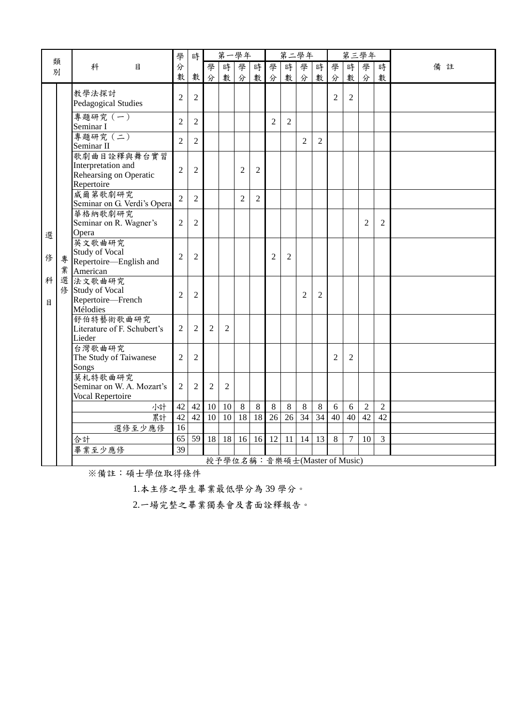| 類      |   |                                                                           | 學               | 時               |                |                | 第一學年           |                |                | 第二學年           |                |                |                              |                | 第三學年           |                |    |
|--------|---|---------------------------------------------------------------------------|-----------------|-----------------|----------------|----------------|----------------|----------------|----------------|----------------|----------------|----------------|------------------------------|----------------|----------------|----------------|----|
|        | 別 | 科<br>目                                                                    | 分               |                 | 學              | 時              | 學              | 時              | 學              | 時              | 學              | 時              | 學                            | 時              | 學              | 時              | 備註 |
|        |   |                                                                           | 數               | 數               | 分              | 數              | 分              | 數              | 分              | 數              | 分              | 數              | 分                            | 數              | 分              | 數              |    |
|        |   | 教學法探討<br>Pedagogical Studies                                              | $\overline{2}$  | $\overline{2}$  |                |                |                |                |                |                |                |                | $\overline{2}$               | $\overline{c}$ |                |                |    |
|        |   | 專題研究 (一)<br>Seminar I                                                     | $\overline{2}$  | $\overline{2}$  |                |                |                |                | $\overline{2}$ | $\overline{2}$ |                |                |                              |                |                |                |    |
|        |   | 專題研究 (二)<br>Seminar II                                                    | $\overline{2}$  | $\overline{2}$  |                |                |                |                |                |                | $\overline{2}$ | 2              |                              |                |                |                |    |
|        |   | 歌劇曲目詮釋與舞台實習<br>Interpretation and<br>Rehearsing on Operatic<br>Repertoire | $\overline{2}$  | $\overline{2}$  |                |                | $\overline{2}$ | $\overline{2}$ |                |                |                |                |                              |                |                |                |    |
|        |   | 威爾第歌劇研究<br>Seminar on G. Verdi's Opera                                    | $\overline{2}$  | $\overline{2}$  |                |                | $\overline{2}$ | $\overline{2}$ |                |                |                |                |                              |                |                |                |    |
| 選      |   | 華格納歌劇研究<br>Seminar on R. Wagner's<br>Opera                                | $\mathfrak{2}$  | $\overline{2}$  |                |                |                |                |                |                |                |                |                              |                | $\overline{2}$ | $\overline{2}$ |    |
| 俢      | 專 | 英文歌曲研究<br><b>Study of Vocal</b><br>Repertoire—English and<br>業 American   | $\overline{2}$  | $\overline{2}$  |                |                |                |                | $\overline{2}$ | $\overline{2}$ |                |                |                              |                |                |                |    |
| 科<br>月 |   | 選 法文歌曲研究<br>修 Study of Vocal<br>Repertoire-French<br>Mélodies             | $\overline{2}$  | $\overline{2}$  |                |                |                |                |                |                | $\overline{2}$ | $\overline{2}$ |                              |                |                |                |    |
|        |   | 舒伯特藝術歌曲研究<br>Literature of F. Schubert's<br>Lieder                        | $\overline{2}$  | $\overline{2}$  | $\overline{c}$ | $\overline{2}$ |                |                |                |                |                |                |                              |                |                |                |    |
|        |   | 台灣歌曲研究<br>The Study of Taiwanese<br>Songs                                 | $\overline{2}$  | $\overline{2}$  |                |                |                |                |                |                |                |                | $\overline{2}$               | $\overline{2}$ |                |                |    |
|        |   | 莫札特歌曲研究<br>Seminar on W. A. Mozart's<br>Vocal Repertoire                  | $\mathfrak{2}$  | $\overline{2}$  | 2              | 2              |                |                |                |                |                |                |                              |                |                |                |    |
|        |   | 小計                                                                        | 42              | 42              | 10             | 10             | $8\,$          | $8\,$          | $\,8\,$        | $\,8\,$        | 8              | $8\,$          | 6                            | 6              | $\overline{2}$ | $\overline{2}$ |    |
|        |   | 累計                                                                        | 42              | 42              | 10             | 10             | 18             | 18             | 26             | 26             | 34             | 34             | 40                           | 40             | 42             | 42             |    |
|        |   | 選修至少應修                                                                    | 16              |                 |                |                |                |                |                |                |                |                |                              |                |                |                |    |
|        |   | 合計                                                                        | $\overline{65}$ | $\overline{59}$ | 18             | 18             | 16             | 16             | 12             | 11             | 14             | 13             | $\,8\,$                      | $\tau$         | 10             | 3              |    |
|        |   | 畢業至少應修                                                                    | $\overline{39}$ |                 |                |                |                |                |                |                |                |                |                              |                |                |                |    |
|        |   |                                                                           |                 |                 |                |                |                |                |                |                |                |                | 授予學位名稱:音樂碩士(Master of Music) |                |                |                |    |

1.本主修之學生畢業最低學分為 39 學分。

2.一場完整之畢業獨奏會及書面詮釋報告。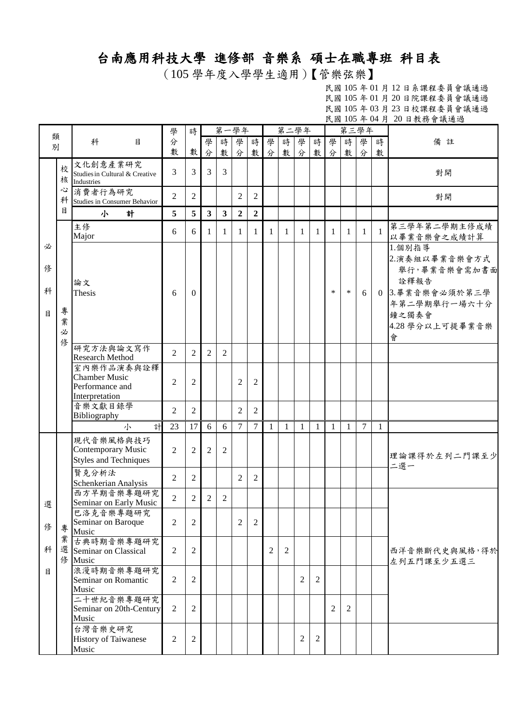## 台南應用科技大學 進修部 音樂系 碩士在職專班 科目表

(105 學年度入學學生適用)【管樂弦樂】

|                  |                  |                                                                         | 學              | 時              |                         | 第一學年           |                |                |                | 第二學年         |   |                |              |        | 第三學年   |                |                                                                                                                     |
|------------------|------------------|-------------------------------------------------------------------------|----------------|----------------|-------------------------|----------------|----------------|----------------|----------------|--------------|---|----------------|--------------|--------|--------|----------------|---------------------------------------------------------------------------------------------------------------------|
| 類<br>別           |                  | 科<br>目                                                                  | 分              |                | 學                       | 時              | 學              | 時              | 學              | 時            | 學 | 時              | 學            | 時      | 學      | 時              | 備註                                                                                                                  |
|                  |                  |                                                                         | 數              | 數              | 分                       | 數              | 分              | 數              | 分              | 數            | 分 | 數              | 分            | 數      | 分      | 數              |                                                                                                                     |
|                  | 校<br>核           | 文化創意產業研究<br>Studies in Cultural & Creative<br><b>Industries</b>         | 3              | 3              | $\overline{3}$          | $\overline{3}$ |                |                |                |              |   |                |              |        |        |                | 對開                                                                                                                  |
|                  | 心<br>科           | 消費者行為研究<br>Studies in Consumer Behavior                                 | $\overline{2}$ | 2              |                         |                | $\mathfrak{2}$ | $\mathfrak{2}$ |                |              |   |                |              |        |        |                | 對開                                                                                                                  |
|                  | $\mathbf{B}$     | 小<br>計                                                                  | 5              | 5              | $\overline{\mathbf{3}}$ | $\mathbf{3}$   | $\overline{2}$ | $\overline{2}$ |                |              |   |                |              |        |        |                |                                                                                                                     |
|                  |                  | 主修<br>Major                                                             | 6              | 6              | 1                       | 1              | 1              | 1              | 1              | 1            | 1 | 1              | 1            | 1      | -1     | $\overline{1}$ | 第三學年第二學期主修成績<br>以畢業音樂會之成績計算                                                                                         |
| 必<br>俢<br>科<br>目 | 專<br>業<br>必<br>俢 | 論文<br>Thesis                                                            | 6              | $\Omega$       |                         |                |                |                |                |              |   |                | $\ast$       | $\ast$ | 6      |                | 1.個別指導<br>2.演奏組以畢業音樂會方式<br>舉行,畢業音樂會需加書面<br>詮釋報告<br>0 3.畢業音樂會必須於第三學<br>年第二學期舉行一場六十分<br>鐘之獨奏會<br>4.28 學分以上可提畢業音樂<br>會 |
|                  |                  | 研究方法與論文寫作<br>Research Method                                            | $\overline{2}$ | $\overline{2}$ | 2                       | $\overline{2}$ |                |                |                |              |   |                |              |        |        |                |                                                                                                                     |
|                  |                  | 室內樂作品演奏與詮釋<br><b>Chamber Music</b><br>Performance and<br>Interpretation | $\overline{2}$ | $\overline{2}$ |                         |                | $\overline{2}$ | $\overline{2}$ |                |              |   |                |              |        |        |                |                                                                                                                     |
|                  |                  | 音樂文獻目錄學<br>Bibliography                                                 | $\overline{2}$ | 2              |                         |                | 2              | $\overline{2}$ |                |              |   |                |              |        |        |                |                                                                                                                     |
|                  |                  | 計<br>小                                                                  | 23             | 17             | 6                       | 6              | $\overline{7}$ | $\overline{7}$ | $\mathbf{1}$   | $\mathbf{1}$ | 1 | $\mathbf{1}$   | $\mathbf{1}$ | 1      | $\tau$ | 1              |                                                                                                                     |
|                  |                  | 現代音樂風格與技巧<br>Contemporary Music<br><b>Styles and Techniques</b>         | $\overline{2}$ | $\overline{2}$ | $\overline{2}$          | $\overline{2}$ |                |                |                |              |   |                |              |        |        |                | 理論課得於左列二門課至少<br>二選一                                                                                                 |
|                  |                  | 賢克分析法<br>Schenkerian Analysis                                           | $\overline{2}$ | $\overline{2}$ |                         |                | $\overline{2}$ | $\overline{2}$ |                |              |   |                |              |        |        |                |                                                                                                                     |
| 選                |                  | 西方早期音樂專題研究<br>Seminar on Early Music                                    | $\overline{2}$ | 2              | 2                       | 2              |                |                |                |              |   |                |              |        |        |                |                                                                                                                     |
| 修                | 專                | 巴洛克音樂專題研究<br>Seminar on Baroque<br>Music                                | 2              | 2              |                         |                | 2              | 2              |                |              |   |                |              |        |        |                |                                                                                                                     |
| 科                | 業                | 古典時期音樂專題研究<br>選 Seminar on Classical<br>修 Music                         | 2              | 2              |                         |                |                |                | $\overline{2}$ | 2            |   |                |              |        |        |                | 西洋音樂斷代史與風格,得於<br>左列五門課至少五選三                                                                                         |
| 目                |                  | 浪漫時期音樂專題研究<br>Seminar on Romantic<br>Music                              | $\overline{2}$ | 2              |                         |                |                |                |                |              | 2 | $\overline{c}$ |              |        |        |                |                                                                                                                     |
|                  |                  | 二十世紀音樂專題研究<br>Seminar on 20th-Century<br>Music                          | $\overline{2}$ | $\overline{2}$ |                         |                |                |                |                |              |   |                | 2            | 2      |        |                |                                                                                                                     |
|                  |                  | 台灣音樂史研究<br>History of Taiwanese<br>Music                                | 2              | $\overline{2}$ |                         |                |                |                |                |              | 2 | 2              |              |        |        |                |                                                                                                                     |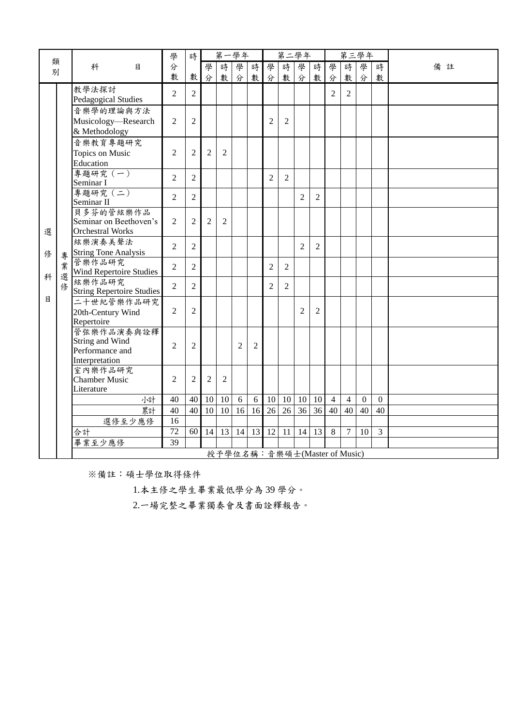|        |        |                                  | 學               | 時              |                 |                | 第一學年            |                |                 | 第二學年           |                |                 |                              |                | 第三學年            |                |    |
|--------|--------|----------------------------------|-----------------|----------------|-----------------|----------------|-----------------|----------------|-----------------|----------------|----------------|-----------------|------------------------------|----------------|-----------------|----------------|----|
| 類<br>別 |        | 科<br>目                           | 分               |                | 學               | 時              | 學               | 時              | 學               | 時              | 學              | 時               | 學                            | 時              | 學               | 時              | 備註 |
|        |        |                                  | 數               | 數              | 分               | 數              | 分               | 數              | 分               | 數              | 分              | 數               | 分                            | 數              | 分               | 數              |    |
|        |        | 教學法探討<br>Pedagogical Studies     | $\overline{2}$  | $\overline{2}$ |                 |                |                 |                |                 |                |                |                 | $\overline{2}$               | 2              |                 |                |    |
|        |        | 音樂學的理論與方法                        |                 |                |                 |                |                 |                |                 |                |                |                 |                              |                |                 |                |    |
|        |        | Musicology—Research              | $\overline{2}$  | $\overline{2}$ |                 |                |                 |                | $\overline{2}$  | $\overline{2}$ |                |                 |                              |                |                 |                |    |
|        |        | & Methodology                    |                 |                |                 |                |                 |                |                 |                |                |                 |                              |                |                 |                |    |
|        |        | 音樂教育專題研究                         |                 |                |                 |                |                 |                |                 |                |                |                 |                              |                |                 |                |    |
|        |        | Topics on Music                  | $\overline{2}$  | $\overline{2}$ | $\overline{2}$  | $\overline{2}$ |                 |                |                 |                |                |                 |                              |                |                 |                |    |
|        |        | Education                        |                 |                |                 |                |                 |                |                 |                |                |                 |                              |                |                 |                |    |
|        |        | 專題研究 (一)                         | $\overline{2}$  | $\overline{2}$ |                 |                |                 |                | $\overline{2}$  | $\overline{2}$ |                |                 |                              |                |                 |                |    |
|        |        | Seminar I<br>專題研究 (二)            |                 |                |                 |                |                 |                |                 |                |                |                 |                              |                |                 |                |    |
|        |        | Seminar II                       | $\overline{2}$  | $\overline{2}$ |                 |                |                 |                |                 |                | $\overline{2}$ | $\overline{2}$  |                              |                |                 |                |    |
|        |        | 貝多芬的管絃樂作品                        |                 |                |                 |                |                 |                |                 |                |                |                 |                              |                |                 |                |    |
|        |        | Seminar on Beethoven's           | $\overline{2}$  | $\overline{2}$ | $\overline{2}$  | $\overline{2}$ |                 |                |                 |                |                |                 |                              |                |                 |                |    |
| 選      |        | <b>Orchestral Works</b>          |                 |                |                 |                |                 |                |                 |                |                |                 |                              |                |                 |                |    |
|        |        | 絃樂演奏美聲法                          | $\overline{2}$  | $\overline{2}$ |                 |                |                 |                |                 |                | $\overline{2}$ | $\overline{2}$  |                              |                |                 |                |    |
| 俢      |        | 專 String Tone Analysis<br>管樂作品研究 |                 |                |                 |                |                 |                |                 |                |                |                 |                              |                |                 |                |    |
| 科      | 業<br>選 | Wind Repertoire Studies          | $\overline{2}$  | $\overline{2}$ |                 |                |                 |                | $\overline{2}$  | $\overline{2}$ |                |                 |                              |                |                 |                |    |
|        | 俢      | 絃樂作品研究                           | $\overline{2}$  | $\overline{2}$ |                 |                |                 |                | $\overline{2}$  | $\overline{2}$ |                |                 |                              |                |                 |                |    |
| 目      |        | <b>String Repertoire Studies</b> |                 |                |                 |                |                 |                |                 |                |                |                 |                              |                |                 |                |    |
|        |        | 二十世紀管樂作品研究                       | $\overline{2}$  | $\overline{2}$ |                 |                |                 |                |                 |                | $\overline{2}$ | $\overline{2}$  |                              |                |                 |                |    |
|        |        | 20th-Century Wind<br>Repertoire  |                 |                |                 |                |                 |                |                 |                |                |                 |                              |                |                 |                |    |
|        |        | 管弦樂作品演奏與詮釋                       |                 |                |                 |                |                 |                |                 |                |                |                 |                              |                |                 |                |    |
|        |        | String and Wind                  | $\overline{2}$  | $\overline{2}$ |                 |                | $\overline{2}$  | $\overline{2}$ |                 |                |                |                 |                              |                |                 |                |    |
|        |        | Performance and                  |                 |                |                 |                |                 |                |                 |                |                |                 |                              |                |                 |                |    |
|        |        | Interpretation                   |                 |                |                 |                |                 |                |                 |                |                |                 |                              |                |                 |                |    |
|        |        | 室內樂作品研究<br><b>Chamber Music</b>  | 2               | $\overline{2}$ | $\overline{2}$  | $\overline{2}$ |                 |                |                 |                |                |                 |                              |                |                 |                |    |
|        |        | Literature                       |                 |                |                 |                |                 |                |                 |                |                |                 |                              |                |                 |                |    |
|        |        | 小計                               | 40              | 40             | 10              | 10             | $6\,$           | 6              | 10              |                | $10 \mid 10$   | 10              | $\overline{4}$               | $\overline{4}$ | $\mathbf{0}$    | $\mathbf{0}$   |    |
|        |        | 累計                               | 40              | 40             | $\overline{10}$ | 10             | $\overline{16}$ | 16             | $\overline{26}$ | 26             | 36             | $\overline{36}$ | 40                           | 40             | $\overline{40}$ | 40             |    |
|        |        | 選修至少應修                           | 16              |                |                 |                |                 |                |                 |                |                |                 |                              |                |                 |                |    |
|        |        | 合計                               | $\overline{72}$ | 60             | 14              | 13             | 14              | 13             | 12              | $11\,$         | 14             | 13              | 8                            | $\overline{7}$ | 10              | $\overline{3}$ |    |
|        |        | 畢業至少應修                           | 39              |                |                 |                |                 |                |                 |                |                |                 |                              |                |                 |                |    |
|        |        |                                  |                 |                |                 |                |                 |                |                 |                |                |                 | 授予學位名稱:音樂碩士(Master of Music) |                |                 |                |    |

1.本主修之學生畢業最低學分為 39 學分。

2.一場完整之畢業獨奏會及書面詮釋報告。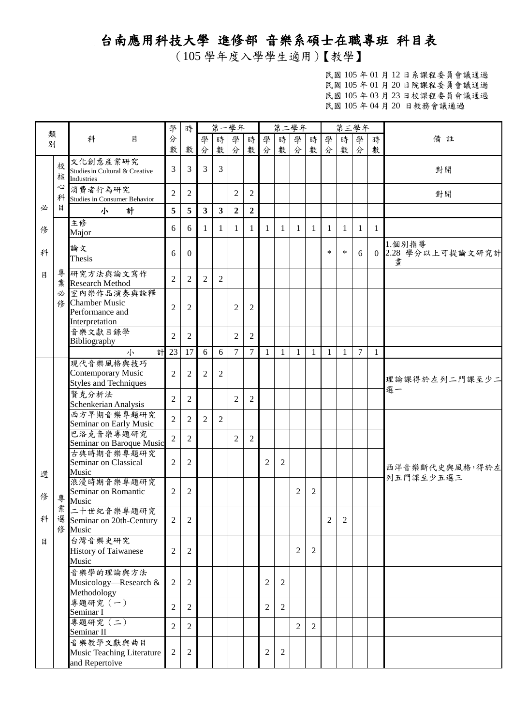## 台南應用科技大學 進修部 音樂系碩士在職專班 科目表

(105 學年度入學學生適用)【教學】

|              |        |                                                                         | 學              | 時               |                         |                | 第一學年             |                |                |                | 第二學年           |                |                | 第三學年         |                |              |                                   |
|--------------|--------|-------------------------------------------------------------------------|----------------|-----------------|-------------------------|----------------|------------------|----------------|----------------|----------------|----------------|----------------|----------------|--------------|----------------|--------------|-----------------------------------|
| 類<br>別       |        | 科<br>目                                                                  | 分<br>數         | 數               | 學                       | 時              | 學                | 時              | 學              | 時              | 學              | 時              | 學              | 時            | 學              | 時            | 備註                                |
|              | 校<br>核 | 文化創意產業研究<br>Studies in Cultural & Creative<br><b>Industries</b>         | 3              | 3               | 分<br>$\overline{3}$     | 數<br>3         | 分                | 數              | 分              | 數              | 分              | 數              | 分              | 數            | 分              | 數            | 對開                                |
|              | 心<br>科 | 消費者行為研究<br>Studies in Consumer Behavior                                 | $\overline{2}$ | $\overline{2}$  |                         |                | $\overline{c}$   | $\overline{2}$ |                |                |                |                |                |              |                |              | 對開                                |
| 必            | 目      | 小<br>計                                                                  | 5              | $5\overline{)}$ | $\overline{\mathbf{3}}$ | 3 <sup>1</sup> | $\boldsymbol{2}$ | $\overline{2}$ |                |                |                |                |                |              |                |              |                                   |
| 俢            |        | 主修<br>Major                                                             | 6              | 6               | 1                       | 1              | $\mathbf{1}$     | 1              | $\mathbf{1}$   | -1             | $\mathbf{1}$   | 1              | $\mathbf{1}$   | $\mathbf{1}$ | $\mathbf{1}$   | $\mathbf{1}$ |                                   |
| 科            |        | 論文<br>Thesis                                                            | 6              | $\theta$        |                         |                |                  |                |                |                |                |                | $\ast$         | $\ast$       | 6              |              | 1.個別指導<br>0 2.28 學分以上可提論文研究計<br>畫 |
| $\mathbf{H}$ |        | 專 研究方法與論文寫作<br>業 Research Method                                        | $\overline{2}$ | 2               | $\overline{2}$          | 2              |                  |                |                |                |                |                |                |              |                |              |                                   |
|              | 必<br>修 | 室內樂作品演奏與詮釋<br><b>Chamber Music</b><br>Performance and<br>Interpretation | $\overline{2}$ | $\mathfrak{2}$  |                         |                | $\mathfrak{2}$   | $\overline{2}$ |                |                |                |                |                |              |                |              |                                   |
|              |        | 音樂文獻目錄學<br>Bibliography                                                 | $\overline{2}$ | $\overline{2}$  |                         |                | $\overline{2}$   | $\overline{2}$ |                |                |                |                |                |              |                |              |                                   |
|              |        | 計<br>小                                                                  | 23             | 17              | 6                       | 6              | $\tau$           | $\overline{7}$ | $\mathbf{1}$   | $\mathbf{1}$   | $\mathbf{1}$   | $\mathbf{1}$   | $\mathbf{1}$   | $\mathbf{1}$ | $\overline{7}$ | $\mathbf{1}$ |                                   |
|              |        | 現代音樂風格與技巧<br>Contemporary Music<br><b>Styles and Techniques</b>         | $\overline{2}$ | $\overline{2}$  | $\overline{2}$          | $\overline{2}$ |                  |                |                |                |                |                |                |              |                |              | 理論課得於左列二門課至少二                     |
|              |        | 賢克分析法<br>Schenkerian Analysis                                           | $\overline{2}$ | $\overline{2}$  |                         |                | 2                | $\overline{2}$ |                |                |                |                |                |              |                |              | 選一                                |
|              |        | 西方早期音樂專題研究<br>Seminar on Early Music                                    | $\overline{2}$ | $\overline{c}$  | $\overline{2}$          | $\overline{2}$ |                  |                |                |                |                |                |                |              |                |              |                                   |
|              |        | 巴洛克音樂專題研究<br>Seminar on Baroque Music                                   | $\overline{2}$ | 2               |                         |                | $\overline{2}$   | $\overline{2}$ |                |                |                |                |                |              |                |              |                                   |
| 選            |        | 古典時期音樂專題研究<br>Seminar on Classical<br>Music                             | $\mathfrak{2}$ | $\mathfrak{2}$  |                         |                |                  |                | $\overline{2}$ | 2              |                |                |                |              |                |              | 西洋音樂斷代史與風格,得於左                    |
| 修            | 專      | 浪漫時期音樂專題研究<br>Seminar on Romantic<br>Music                              | $\mathfrak{2}$ | $\mathfrak{2}$  |                         |                |                  |                |                |                | $\overline{c}$ | $\overline{2}$ |                |              |                |              | 列五門課至少五選三                         |
| 科            |        | 業 二十世紀音樂專題研究<br>選 Seminar on 20th-Century<br>修 Music                    | $\overline{2}$ | $\overline{2}$  |                         |                |                  |                |                |                |                |                | $\overline{2}$ | 2            |                |              |                                   |
| 目            |        | 台灣音樂史研究<br><b>History of Taiwanese</b><br>Music                         | $\overline{2}$ | $\overline{2}$  |                         |                |                  |                |                |                | $\overline{2}$ | 2              |                |              |                |              |                                   |
|              |        | 音樂學的理論與方法<br>Musicology—Research &<br>Methodology                       | $\overline{2}$ | $\overline{2}$  |                         |                |                  |                | $\overline{2}$ | $\overline{2}$ |                |                |                |              |                |              |                                   |
|              |        | 專題研究 (一)<br>Seminar I                                                   | $\overline{2}$ | 2               |                         |                |                  |                | $\overline{2}$ | $\overline{2}$ |                |                |                |              |                |              |                                   |
|              |        | 專題研究 (二)<br>Seminar II                                                  | $\overline{2}$ | $\overline{2}$  |                         |                |                  |                |                |                | 2              | 2              |                |              |                |              |                                   |
|              |        | 音樂教學文獻與曲目<br>Music Teaching Literature<br>and Repertoive                | $\sqrt{2}$     | $\sqrt{2}$      |                         |                |                  |                | $\mathbf{2}$   | $\overline{2}$ |                |                |                |              |                |              |                                   |